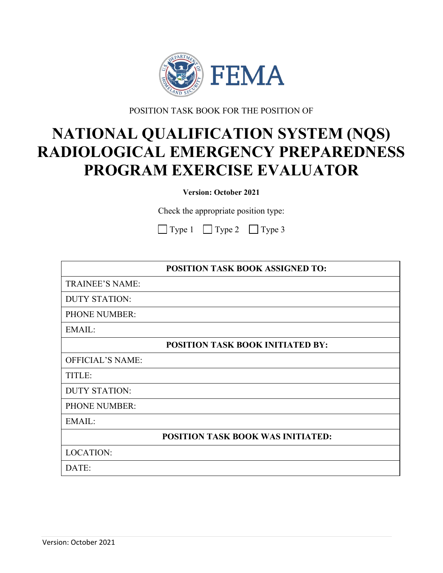

POSITION TASK BOOK FOR THE POSITION OF

# **NATIONAL QUALIFICATION SYSTEM (NQS) RADIOLOGICAL EMERGENCY PREPAREDNESS PROGRAM EXERCISE EVALUATOR**

**Version: October 2021**

Check the appropriate position type:

| $\Box$ Type 1 | $\Box$ Type 2 | $\Box$ Type 3 |
|---------------|---------------|---------------|
|---------------|---------------|---------------|

|                         | POSITION TASK BOOK ASSIGNED TO:          |
|-------------------------|------------------------------------------|
| <b>TRAINEE'S NAME:</b>  |                                          |
| <b>DUTY STATION:</b>    |                                          |
| <b>PHONE NUMBER:</b>    |                                          |
| EMAIL:                  |                                          |
|                         | <b>POSITION TASK BOOK INITIATED BY:</b>  |
| <b>OFFICIAL'S NAME:</b> |                                          |
| TITLE:                  |                                          |
| <b>DUTY STATION:</b>    |                                          |
| <b>PHONE NUMBER:</b>    |                                          |
| <b>EMAIL:</b>           |                                          |
|                         | <b>POSITION TASK BOOK WAS INITIATED:</b> |
| <b>LOCATION:</b>        |                                          |
| DATE:                   |                                          |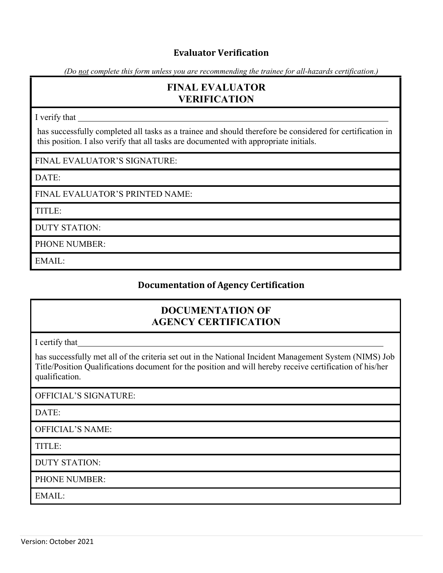## **Evaluator Verification**

*(Do not complete this form unless you are recommending the trainee for all-hazards certification.)*

# **FINAL EVALUATOR VERIFICATION**

I verify that

has successfully completed all tasks as a traine e and should therefore be considered for certification in this position. I also verify that all tasks are doc umented with appropriate initials.

FINAL EVALUATOR'S SIGNATURE:

DATE:

FINAL EVALUATOR'S PRINTED NAME:

TITLE:

DUTY STATION:

PHONE NUMBER:

EMAIL:

## **Documentation of Agency Certification**

# **DOCUMENTATION OF AGENCY CERTIFICATION**

I certify that

has successfully met all of the criteria set out in the Natio nal Incident Management System (NIMS) Job Title/Position Qualifications document for the position a nd will hereby receive certification of his/her qualification.

OFFICIAL'S SIGNATURE:

DATE:

OFFICIAL'S NAME:

TITLE:

DUTY STATION:

PHONE NUMBER:

EMAIL: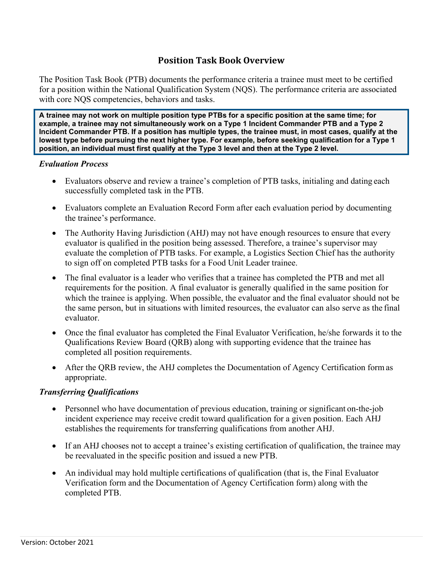## **Position Task Book Overview**

The Position Task Book (PTB) documents the performance criteria a trainee must meet to be certified for a position within the National Qualification System (NQS). The performance criteria are associated with core NQS competencies, behaviors and tasks.

**A trainee may not work on multiple position type PTBs for a specific position at the same time; for example, a trainee may not simultaneously work on a Type 1 Incident Commander PTB and a Type 2 Incident Commander PTB. If a position has multiple types, the trainee must, in most cases, qualify at the lowest type before pursuing the next higher type. For example, before seeking qualification for a Type 1 position, an individual must first qualify at the Type 3 level and then at the Type 2 level.**

#### *Evaluation Process*

- Evaluators observe and review a trainee's completion of PTB tasks, initialing and dating each successfully completed task in the PTB.
- Evaluators complete an Evaluation Record Form after each evaluation period by documenting the trainee's performance.
- The Authority Having Jurisdiction (AHJ) may not have enough resources to ensure that every evaluator is qualified in the position being assessed. Therefore, a trainee's supervisor may evaluate the completion of PTB tasks. For example, a Logistics Section Chief has the authority to sign off on completed PTB tasks for a Food Unit Leader trainee.
- The final evaluator is a leader who verifies that a trainee has completed the PTB and met all requirements for the position. A final evaluator is generally qualified in the same position for which the trainee is applying. When possible, the evaluator and the final evaluator should not be the same person, but in situations with limited resources, the evaluator can also serve as the final evaluator.
- Once the final evaluator has completed the Final Evaluator Verification, he/she forwards it to the Qualifications Review Board (QRB) along with supporting evidence that the trainee has completed all position requirements.
- After the ORB review, the AHJ completes the Documentation of Agency Certification form as appropriate.

#### *Transferring Qualifications*

- Personnel who have documentation of previous education, training or significant on-the-job incident experience may receive credit toward qualification for a given position. Each AHJ establishes the requirements for transferring qualifications from another AHJ.
- If an AHJ chooses not to accept a trainee's existing certification of qualification, the trainee may be reevaluated in the specific position and issued a new PTB.
- An individual may hold multiple certifications of qualification (that is, the Final Evaluator Verification form and the Documentation of Agency Certification form) along with the completed PTB.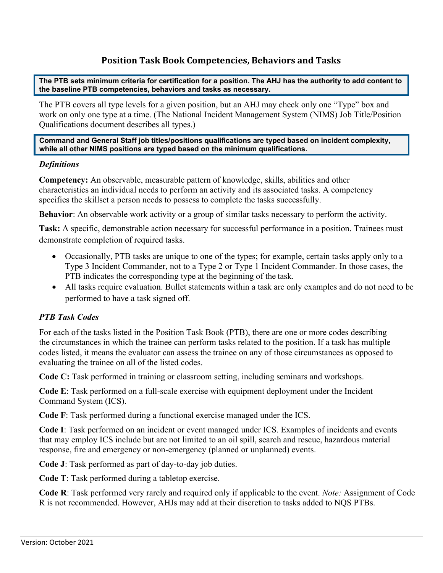## **Position Task Book Competencies, Behaviors and Tasks**

**The PTB sets minimum criteria for certification for a position. The AHJ has the authority to add content to the baseline PTB competencies, behaviors and tasks as necessary.**

The PTB covers all type levels for a given position, but an AHJ may check only one "Type" box and work on only one type at a time. (The National Incident Management System (NIMS) Job Title/Position Qualifications document describes all types.)

**Command and General Staff job titles/positions qualifications are typed based on incident complexity, while all other NIMS positions are typed based on the minimum qualifications.**

#### *Definitions*

**Competency:** An observable, measurable pattern of knowledge, skills, abilities and other characteristics an individual needs to perform an activity and its associated tasks. A competency specifies the skillset a person needs to possess to complete the tasks successfully.

**Behavior**: An observable work activity or a group of similar tasks necessary to perform the activity.

**Task:** A specific, demonstrable action necessary for successful performance in a position. Trainees must demonstrate completion of required tasks.

- Occasionally, PTB tasks are unique to one of the types; for example, certain tasks apply only to a Type 3 Incident Commander, not to a Type 2 or Type 1 Incident Commander. In those cases, the PTB indicates the corresponding type at the beginning of the task.
- All tasks require evaluation. Bullet statements within a task are only examples and do not need to be performed to have a task signed off.

#### *PTB Task Codes*

For each of the tasks listed in the Position Task Book (PTB), there are one or more codes describing the circumstances in which the trainee can perform tasks related to the position. If a task has multiple codes listed, it means the evaluator can assess the trainee on any of those circumstances as opposed to evaluating the trainee on all of the listed codes.

**Code C:** Task performed in training or classroom setting, including seminars and workshops.

**Code E**: Task performed on a full-scale exercise with equipment deployment under the Incident Command System (ICS).

**Code F**: Task performed during a functional exercise managed under the ICS.

**Code I**: Task performed on an incident or event managed under ICS. Examples of incidents and events that may employ ICS include but are not limited to an oil spill, search and rescue, hazardous material response, fire and emergency or non-emergency (planned or unplanned) events.

**Code J**: Task performed as part of day-to-day job duties.

**Code T**: Task performed during a tabletop exercise.

**Code R**: Task performed very rarely and required only if applicable to the event. *Note:* Assignment of Code R is not recommended. However, AHJs may add at their discretion to tasks added to NQS PTBs.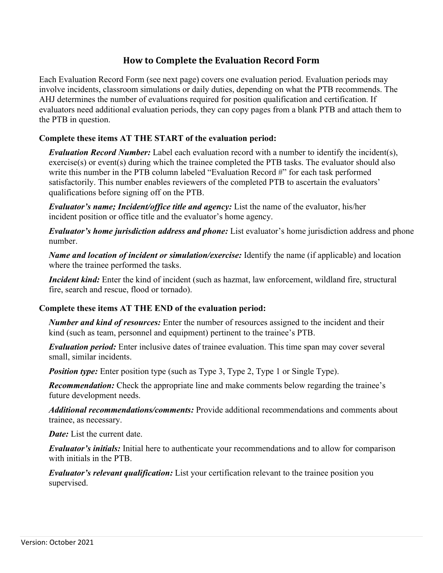## **How to Complete the Evaluation Record Form**

Each Evaluation Record Form (see next page) covers one evaluation period. Evaluation periods may involve incidents, classroom simulations or daily duties, depending on what the PTB recommends. The AHJ determines the number of evaluations required for position qualification and certification. If evaluators need additional evaluation periods, they can copy pages from a blank PTB and attach them to the PTB in question.

#### **Complete these items AT THE START of the evaluation period:**

*Evaluation Record Number:* Label each evaluation record with a number to identify the incident(s), exercise(s) or event(s) during which the trainee completed the PTB tasks. The evaluator should also write this number in the PTB column labeled "Evaluation Record #" for each task performed satisfactorily. This number enables reviewers of the completed PTB to ascertain the evaluators' qualifications before signing off on the PTB.

*Evaluator's name; Incident/office title and agency:* List the name of the evaluator, his/her incident position or office title and the evaluator's home agency.

*Evaluator's home jurisdiction address and phone:* List evaluator's home jurisdiction address and phone number.

*Name and location of incident or simulation/exercise:* Identify the name (if applicable) and location where the trainee performed the tasks.

*Incident kind:* Enter the kind of incident (such as hazmat, law enforcement, wildland fire, structural fire, search and rescue, flood or tornado).

#### **Complete these items AT THE END of the evaluation period:**

*Number and kind of resources:* Enter the number of resources assigned to the incident and their kind (such as team, personnel and equipment) pertinent to the trainee's PTB.

*Evaluation period:* Enter inclusive dates of trainee evaluation. This time span may cover several small, similar incidents.

*Position type:* Enter position type (such as Type 3, Type 2, Type 1 or Single Type).

*Recommendation:* Check the appropriate line and make comments below regarding the trainee's future development needs.

*Additional recommendations/comments:* Provide additional recommendations and comments about trainee, as necessary.

*Date:* List the current date.

*Evaluator's initials:* Initial here to authenticate your recommendations and to allow for comparison with initials in the PTB.

*Evaluator's relevant qualification:* List your certification relevant to the trainee position you supervised.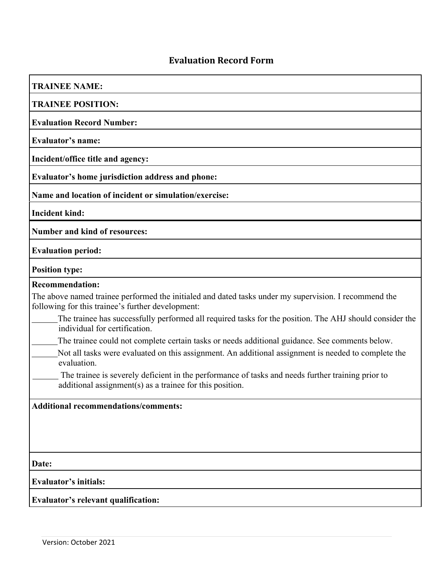# **Evaluation Record Form**

| <b>TRAINEE NAME:</b><br><b>TRAINEE POSITION:</b><br><b>Evaluation Record Number:</b><br><b>Evaluator's name:</b><br>Incident/office title and agency:<br>Evaluator's home jurisdiction address and phone:<br>Name and location of incident or simulation/exercise: |
|--------------------------------------------------------------------------------------------------------------------------------------------------------------------------------------------------------------------------------------------------------------------|
|                                                                                                                                                                                                                                                                    |
|                                                                                                                                                                                                                                                                    |
|                                                                                                                                                                                                                                                                    |
|                                                                                                                                                                                                                                                                    |
|                                                                                                                                                                                                                                                                    |
|                                                                                                                                                                                                                                                                    |
|                                                                                                                                                                                                                                                                    |
| <b>Incident kind:</b>                                                                                                                                                                                                                                              |
| <b>Number and kind of resources:</b>                                                                                                                                                                                                                               |
| <b>Evaluation period:</b>                                                                                                                                                                                                                                          |
| <b>Position type:</b>                                                                                                                                                                                                                                              |
| <b>Recommendation:</b>                                                                                                                                                                                                                                             |
| The above named trainee performed the initialed and dated tasks under my supervision. I recommend the<br>following for this trainee's further development:                                                                                                         |
| The trainee has successfully performed all required tasks for the position. The AHJ should consider the<br>individual for certification.                                                                                                                           |
| The trainee could not complete certain tasks or needs additional guidance. See comments below.                                                                                                                                                                     |
| Not all tasks were evaluated on this assignment. An additional assignment is needed to complete the<br>evaluation.                                                                                                                                                 |
| The trainee is severely deficient in the performance of tasks and needs further training prior to<br>additional assignment(s) as a trainee for this position.                                                                                                      |
| <b>Additional recommendations/comments:</b>                                                                                                                                                                                                                        |
|                                                                                                                                                                                                                                                                    |
|                                                                                                                                                                                                                                                                    |
|                                                                                                                                                                                                                                                                    |
| Date:                                                                                                                                                                                                                                                              |
| <b>Evaluator's initials:</b>                                                                                                                                                                                                                                       |
|                                                                                                                                                                                                                                                                    |
| Evaluator's relevant qualification:                                                                                                                                                                                                                                |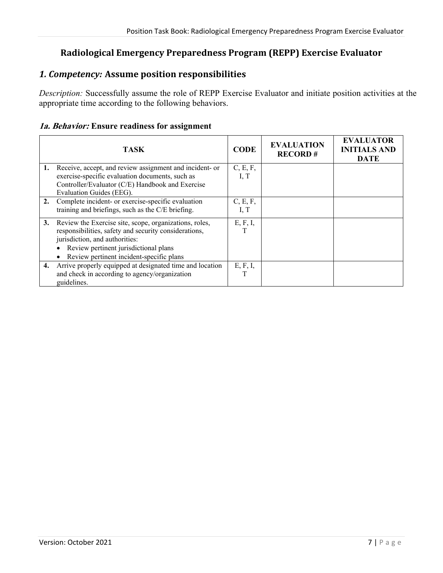## **Radiological Emergency Preparedness Program (REPP) Exercise Evaluator**

## *1. Competency:* **Assume position responsibilities**

*Description:* Successfully assume the role of REPP Exercise Evaluator and initiate position activities at the appropriate time according to the following behaviors.

#### **1a. Behavior: Ensure readiness for assignment**

|    | <b>TASK</b>                                              | <b>CODE</b> | <b>EVALUATION</b><br><b>RECORD#</b> | <b>EVALUATOR</b><br><b>INITIALS AND</b><br><b>DATE</b> |
|----|----------------------------------------------------------|-------------|-------------------------------------|--------------------------------------------------------|
| 1. | Receive, accept, and review assignment and incident- or  | C, E, F,    |                                     |                                                        |
|    | exercise-specific evaluation documents, such as          | I, T        |                                     |                                                        |
|    | Controller/Evaluator (C/E) Handbook and Exercise         |             |                                     |                                                        |
|    | Evaluation Guides (EEG).                                 |             |                                     |                                                        |
| 2. | Complete incident- or exercise-specific evaluation       | C, E, F,    |                                     |                                                        |
|    | training and briefings, such as the C/E briefing.        | I, $T$      |                                     |                                                        |
| 3. | Review the Exercise site, scope, organizations, roles,   | E, F, I,    |                                     |                                                        |
|    | responsibilities, safety and security considerations,    |             |                                     |                                                        |
|    | jurisdiction, and authorities:                           |             |                                     |                                                        |
|    | Review pertinent jurisdictional plans                    |             |                                     |                                                        |
|    | Review pertinent incident-specific plans                 |             |                                     |                                                        |
| 4. | Arrive properly equipped at designated time and location | E, F, I,    |                                     |                                                        |
|    | and check in according to agency/organization            | T           |                                     |                                                        |
|    | guidelines.                                              |             |                                     |                                                        |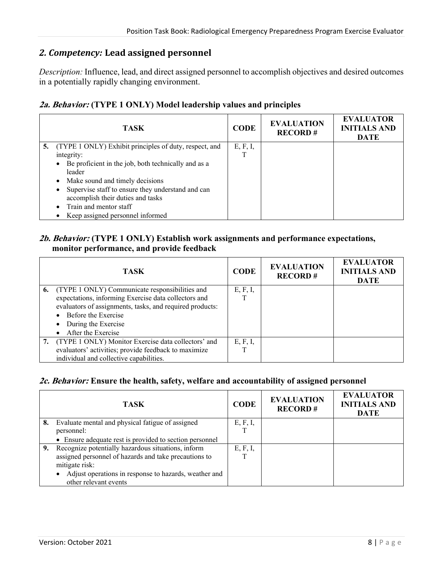## *2. Competency:* **Lead assigned personnel**

*Description:* Influence, lead, and direct assigned personnel to accomplish objectives and desired outcomes in a potentially rapidly changing environment.

#### **2a. Behavior: (TYPE 1 ONLY) Model leadership values and principles**

|    | <b>TASK</b>                                                                            | <b>CODE</b>   | <b>EVALUATION</b><br><b>RECORD#</b> | <b>EVALUATOR</b><br><b>INITIALS AND</b><br><b>DATE</b> |
|----|----------------------------------------------------------------------------------------|---------------|-------------------------------------|--------------------------------------------------------|
| 5. | (TYPE 1 ONLY) Exhibit principles of duty, respect, and<br>integrity:                   | E, F, I,<br>т |                                     |                                                        |
|    | Be proficient in the job, both technically and as a<br>leader                          |               |                                     |                                                        |
|    | Make sound and timely decisions                                                        |               |                                     |                                                        |
|    | Supervise staff to ensure they understand and can<br>accomplish their duties and tasks |               |                                     |                                                        |
|    | Train and mentor staff                                                                 |               |                                     |                                                        |
|    | Keep assigned personnel informed                                                       |               |                                     |                                                        |

#### **2b. Behavior: (TYPE 1 ONLY) Establish work assignments and performance expectations, monitor performance, and provide feedback**

| <b>TASK</b>                                              | <b>CODE</b> | <b>EVALUATION</b><br><b>RECORD#</b> | <b>EVALUATOR</b><br><b>INITIALS AND</b><br><b>DATE</b> |
|----------------------------------------------------------|-------------|-------------------------------------|--------------------------------------------------------|
| 6. (TYPE 1 ONLY) Communicate responsibilities and        | E, F, I,    |                                     |                                                        |
| expectations, informing Exercise data collectors and     |             |                                     |                                                        |
| evaluators of assignments, tasks, and required products: |             |                                     |                                                        |
| Before the Exercise                                      |             |                                     |                                                        |
| During the Exercise                                      |             |                                     |                                                        |
| • After the Exercise                                     |             |                                     |                                                        |
| 7. (TYPE 1 ONLY) Monitor Exercise data collectors' and   | E, F, I,    |                                     |                                                        |
| evaluators' activities; provide feedback to maximize     |             |                                     |                                                        |
| individual and collective capabilities.                  |             |                                     |                                                        |

#### **2c. Behavior: Ensure the health, safety, welfare and accountability of assigned personnel**

|    | TASK                                                    | <b>CODE</b> | <b>EVALUATION</b><br><b>RECORD#</b> | <b>EVALUATOR</b><br><b>INITIALS AND</b><br><b>DATE</b> |
|----|---------------------------------------------------------|-------------|-------------------------------------|--------------------------------------------------------|
| 8. | Evaluate mental and physical fatigue of assigned        | E, F, I,    |                                     |                                                        |
|    | personnel:                                              |             |                                     |                                                        |
|    | • Ensure adequate rest is provided to section personnel |             |                                     |                                                        |
|    | 9. Recognize potentially hazardous situations, inform   | E, F, I,    |                                     |                                                        |
|    | assigned personnel of hazards and take precautions to   |             |                                     |                                                        |
|    | mitigate risk:                                          |             |                                     |                                                        |
|    | Adjust operations in response to hazards, weather and   |             |                                     |                                                        |
|    | other relevant events                                   |             |                                     |                                                        |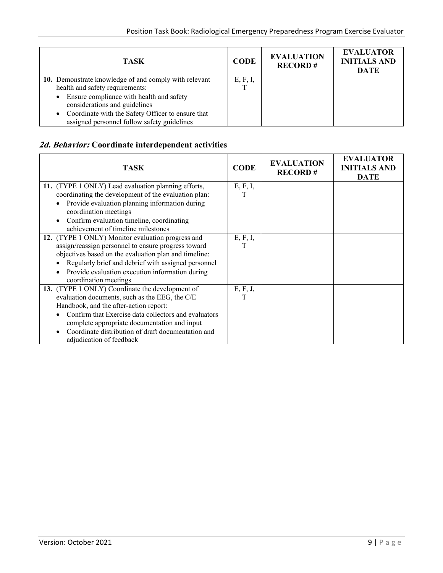| TASK                                                                                                                                                                                                                                                                          | <b>CODE</b> | <b>EVALUATION</b><br><b>RECORD#</b> | <b>EVALUATOR</b><br><b>INITIALS AND</b><br><b>DATE</b> |
|-------------------------------------------------------------------------------------------------------------------------------------------------------------------------------------------------------------------------------------------------------------------------------|-------------|-------------------------------------|--------------------------------------------------------|
| 10. Demonstrate knowledge of and comply with relevant<br>health and safety requirements:<br>• Ensure compliance with health and safety<br>considerations and guidelines<br>• Coordinate with the Safety Officer to ensure that<br>assigned personnel follow safety guidelines | E, F, I,    |                                     |                                                        |

# **2d. Behavior: Coordinate interdependent activities**

| <b>TASK</b>                                           | <b>CODE</b> | <b>EVALUATION</b><br><b>RECORD#</b> | <b>EVALUATOR</b><br><b>INITIALS AND</b><br><b>DATE</b> |
|-------------------------------------------------------|-------------|-------------------------------------|--------------------------------------------------------|
| 11. (TYPE 1 ONLY) Lead evaluation planning efforts,   | E, F, I,    |                                     |                                                        |
| coordinating the development of the evaluation plan:  | т           |                                     |                                                        |
| Provide evaluation planning information during        |             |                                     |                                                        |
| coordination meetings                                 |             |                                     |                                                        |
| Confirm evaluation timeline, coordinating             |             |                                     |                                                        |
| achievement of timeline milestones                    |             |                                     |                                                        |
| 12. (TYPE 1 ONLY) Monitor evaluation progress and     | E, F, I,    |                                     |                                                        |
| assign/reassign personnel to ensure progress toward   | т           |                                     |                                                        |
| objectives based on the evaluation plan and timeline: |             |                                     |                                                        |
| Regularly brief and debrief with assigned personnel   |             |                                     |                                                        |
| Provide evaluation execution information during       |             |                                     |                                                        |
| coordination meetings                                 |             |                                     |                                                        |
| 13. (TYPE 1 ONLY) Coordinate the development of       | E, F, J,    |                                     |                                                        |
| evaluation documents, such as the EEG, the C/E        | Τ           |                                     |                                                        |
| Handbook, and the after-action report:                |             |                                     |                                                        |
| Confirm that Exercise data collectors and evaluators  |             |                                     |                                                        |
| complete appropriate documentation and input          |             |                                     |                                                        |
| Coordinate distribution of draft documentation and    |             |                                     |                                                        |
| adjudication of feedback                              |             |                                     |                                                        |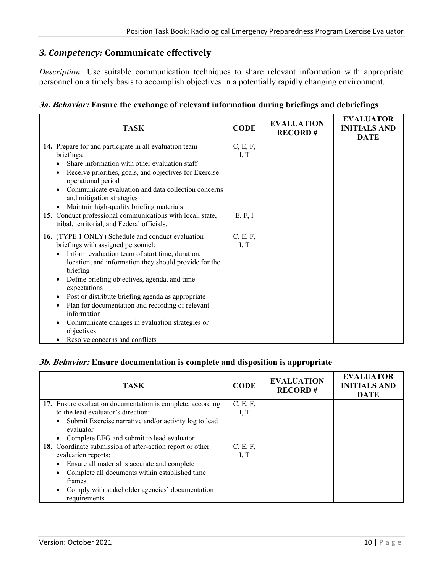## *3. Competency:* **Communicate effectively**

*Description:* Use suitable communication techniques to share relevant information with appropriate personnel on a timely basis to accomplish objectives in a potentially rapidly changing environment.

|  |  |  | <b>3a. Behavior:</b> Ensure the exchange of relevant information during briefings and debriefings |  |  |
|--|--|--|---------------------------------------------------------------------------------------------------|--|--|
|  |  |  |                                                                                                   |  |  |

| <b>TASK</b>                                                                                                                                                                                                                                                                                                                                                                                                                                                                                                     | <b>CODE</b>      | <b>EVALUATION</b><br><b>RECORD#</b> | <b>EVALUATOR</b><br><b>INITIALS AND</b><br><b>DATE</b> |
|-----------------------------------------------------------------------------------------------------------------------------------------------------------------------------------------------------------------------------------------------------------------------------------------------------------------------------------------------------------------------------------------------------------------------------------------------------------------------------------------------------------------|------------------|-------------------------------------|--------------------------------------------------------|
| 14. Prepare for and participate in all evaluation team<br>briefings:<br>Share information with other evaluation staff<br>Receive priorities, goals, and objectives for Exercise<br>operational period<br>Communicate evaluation and data collection concerns<br>and mitigation strategies<br>Maintain high-quality briefing materials                                                                                                                                                                           | C, E, F,<br>I, T |                                     |                                                        |
| 15. Conduct professional communications with local, state,<br>tribal, territorial, and Federal officials.                                                                                                                                                                                                                                                                                                                                                                                                       | E, F, I          |                                     |                                                        |
| 16. (TYPE 1 ONLY) Schedule and conduct evaluation<br>briefings with assigned personnel:<br>Inform evaluation team of start time, duration,<br>location, and information they should provide for the<br>briefing<br>Define briefing objectives, agenda, and time<br>expectations<br>Post or distribute briefing agenda as appropriate<br>٠<br>Plan for documentation and recording of relevant<br>information<br>Communicate changes in evaluation strategies or<br>objectives<br>Resolve concerns and conflicts | C, E, F,<br>I, T |                                     |                                                        |

#### **3b. Behavior: Ensure documentation is complete and disposition is appropriate**

| <b>TASK</b>                                                        | <b>CODE</b> | <b>EVALUATION</b><br><b>RECORD#</b> | <b>EVALUATOR</b><br><b>INITIALS AND</b><br><b>DATE</b> |
|--------------------------------------------------------------------|-------------|-------------------------------------|--------------------------------------------------------|
| 17. Ensure evaluation documentation is complete, according         | C, E, F,    |                                     |                                                        |
| to the lead evaluator's direction:                                 | I, T        |                                     |                                                        |
| Submit Exercise narrative and/or activity log to lead<br>$\bullet$ |             |                                     |                                                        |
| evaluator                                                          |             |                                     |                                                        |
| Complete EEG and submit to lead evaluator                          |             |                                     |                                                        |
| 18. Coordinate submission of after-action report or other          | C, E, F,    |                                     |                                                        |
| evaluation reports:                                                | I, T        |                                     |                                                        |
| Ensure all material is accurate and complete                       |             |                                     |                                                        |
| Complete all documents within established time                     |             |                                     |                                                        |
| frames                                                             |             |                                     |                                                        |
| Comply with stakeholder agencies' documentation                    |             |                                     |                                                        |
| requirements                                                       |             |                                     |                                                        |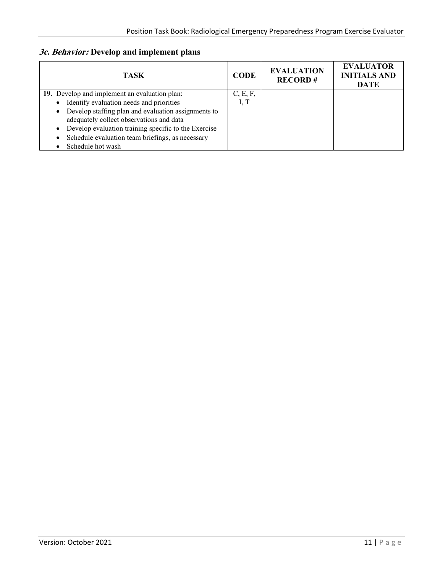## **3c. Behavior: Develop and implement plans**

| TASK                                                                                              | <b>CODE</b> | <b>EVALUATION</b><br><b>RECORD#</b> | <b>EVALUATOR</b><br><b>INITIALS AND</b><br><b>DATE</b> |
|---------------------------------------------------------------------------------------------------|-------------|-------------------------------------|--------------------------------------------------------|
| 19. Develop and implement an evaluation plan:                                                     | C, E, F,    |                                     |                                                        |
| Identify evaluation needs and priorities<br>$\bullet$                                             | I, T        |                                     |                                                        |
| • Develop staffing plan and evaluation assignments to<br>adequately collect observations and data |             |                                     |                                                        |
| Develop evaluation training specific to the Exercise<br>$\bullet$                                 |             |                                     |                                                        |
| Schedule evaluation team briefings, as necessary                                                  |             |                                     |                                                        |
| Schedule hot wash                                                                                 |             |                                     |                                                        |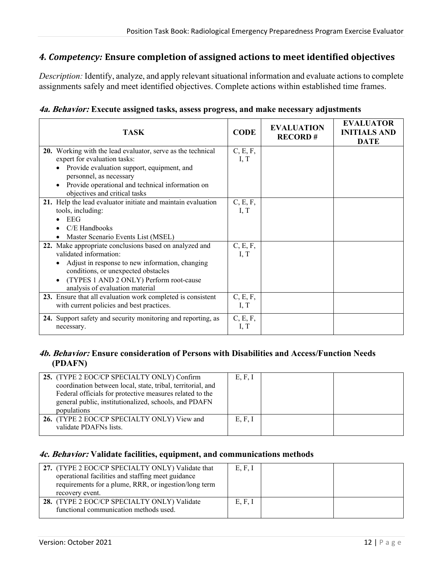## *4. Competency:* **Ensure completion of assigned actions to meet identified objectives**

*Description:* Identify, analyze, and apply relevant situational information and evaluate actions to complete assignments safely and meet identified objectives. Complete actions within established time frames.

| <b>TASK</b>                                                                                                                                                                                                                                               | <b>CODE</b>      | <b>EVALUATION</b><br><b>RECORD#</b> | <b>EVALUATOR</b><br><b>INITIALS AND</b><br><b>DATE</b> |
|-----------------------------------------------------------------------------------------------------------------------------------------------------------------------------------------------------------------------------------------------------------|------------------|-------------------------------------|--------------------------------------------------------|
| 20. Working with the lead evaluator, serve as the technical<br>expert for evaluation tasks:<br>Provide evaluation support, equipment, and<br>personnel, as necessary<br>Provide operational and technical information on<br>objectives and critical tasks | C, E, F,<br>I, T |                                     |                                                        |
| 21. Help the lead evaluator initiate and maintain evaluation<br>tools, including:<br><b>EEG</b><br>C/E Handbooks<br>Master Scenario Events List (MSEL)                                                                                                    | C, E, F,<br>I, T |                                     |                                                        |
| 22. Make appropriate conclusions based on analyzed and<br>validated information:<br>Adjust in response to new information, changing<br>conditions, or unexpected obstacles<br>(TYPES 1 AND 2 ONLY) Perform root-cause<br>analysis of evaluation material  | C, E, F,<br>I, T |                                     |                                                        |
| 23. Ensure that all evaluation work completed is consistent<br>with current policies and best practices.                                                                                                                                                  | C, E, F,<br>I, T |                                     |                                                        |
| 24. Support safety and security monitoring and reporting, as<br>necessary.                                                                                                                                                                                | C, E, F,<br>I, T |                                     |                                                        |

#### **4b. Behavior: Ensure consideration of Persons with Disabilities and Access/Function Needs (PDAFN)**

| 25. (TYPE 2 EOC/CP SPECIALTY ONLY) Confirm<br>coordination between local, state, tribal, territorial, and<br>Federal officials for protective measures related to the<br>general public, institutionalized, schools, and PDAFN<br>populations | E, F, I |  |
|-----------------------------------------------------------------------------------------------------------------------------------------------------------------------------------------------------------------------------------------------|---------|--|
| 26. (TYPE 2 EOC/CP SPECIALTY ONLY) View and<br>validate PDAFNs lists.                                                                                                                                                                         | E, F, I |  |

#### **4c. Behavior: Validate facilities, equipment, and communications methods**

| 27. (TYPE 2 EOC/CP SPECIALTY ONLY) Validate that<br>operational facilities and staffing meet guidance<br>requirements for a plume, RRR, or ingestion/long term<br>recovery event. | E, F, I |  |
|-----------------------------------------------------------------------------------------------------------------------------------------------------------------------------------|---------|--|
| 28. (TYPE 2 EOC/CP SPECIALTY ONLY) Validate<br>functional communication methods used.                                                                                             | E, F, I |  |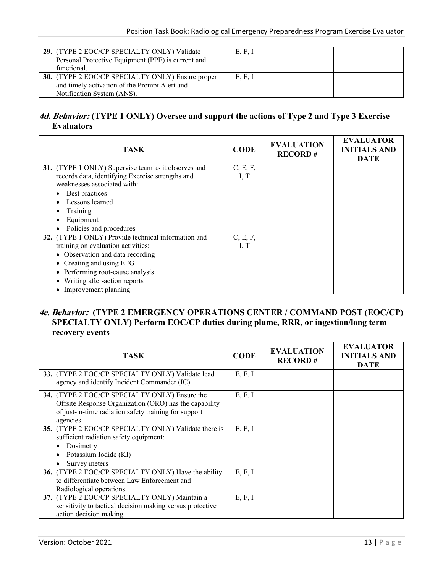| 29. (TYPE 2 EOC/CP SPECIALTY ONLY) Validate<br>Personal Protective Equipment (PPE) is current and<br>functional.                | E, F, I |  |
|---------------------------------------------------------------------------------------------------------------------------------|---------|--|
| 30. (TYPE 2 EOC/CP SPECIALTY ONLY) Ensure proper<br>and timely activation of the Prompt Alert and<br>Notification System (ANS). | E, F, I |  |

## **4d. Behavior: (TYPE 1 ONLY) Oversee and support the actions of Type 2 and Type 3 Exercise Evaluators**

| <b>TASK</b>                                                                     | <b>CODE</b> | <b>EVALUATION</b><br><b>RECORD#</b> | <b>EVALUATOR</b><br><b>INITIALS AND</b><br><b>DATE</b> |
|---------------------------------------------------------------------------------|-------------|-------------------------------------|--------------------------------------------------------|
| 31. (TYPE 1 ONLY) Supervise team as it observes and                             | C, E, F,    |                                     |                                                        |
| records data, identifying Exercise strengths and<br>weaknesses associated with: | I, T        |                                     |                                                        |
| Best practices                                                                  |             |                                     |                                                        |
| Lessons learned                                                                 |             |                                     |                                                        |
| Training                                                                        |             |                                     |                                                        |
| Equipment                                                                       |             |                                     |                                                        |
| Policies and procedures                                                         |             |                                     |                                                        |
| 32. (TYPE 1 ONLY) Provide technical information and                             | C, E, F,    |                                     |                                                        |
| training on evaluation activities:                                              | I, T        |                                     |                                                        |
| • Observation and data recording                                                |             |                                     |                                                        |
| • Creating and using EEG                                                        |             |                                     |                                                        |
| • Performing root-cause analysis                                                |             |                                     |                                                        |
| Writing after-action reports                                                    |             |                                     |                                                        |
| • Improvement planning                                                          |             |                                     |                                                        |

#### **4e. Behavior: (TYPE 2 EMERGENCY OPERATIONS CENTER / COMMAND POST (EOC/CP) SPECIALTY ONLY) Perform EOC/CP duties during plume, RRR, or ingestion/long term recovery events**

| TASK                                                                                                                                                                          | <b>CODE</b> | <b>EVALUATION</b><br><b>RECORD#</b> | <b>EVALUATOR</b><br><b>INITIALS AND</b><br><b>DATE</b> |
|-------------------------------------------------------------------------------------------------------------------------------------------------------------------------------|-------------|-------------------------------------|--------------------------------------------------------|
| 33. (TYPE 2 EOC/CP SPECIALTY ONLY) Validate lead<br>agency and identify Incident Commander (IC).                                                                              | E, F, I     |                                     |                                                        |
| 34. (TYPE 2 EOC/CP SPECIALTY ONLY) Ensure the<br>Offsite Response Organization (ORO) has the capability<br>of just-in-time radiation safety training for support<br>agencies. | E, F, I     |                                     |                                                        |
| 35. (TYPE 2 EOC/CP SPECIALTY ONLY) Validate there is<br>sufficient radiation safety equipment:<br>Dosimetry<br>Potassium Iodide (KI)<br>Survey meters                         | E, F, I     |                                     |                                                        |
| 36. (TYPE 2 EOC/CP SPECIALTY ONLY) Have the ability<br>to differentiate between Law Enforcement and<br>Radiological operations.                                               | E, F, I     |                                     |                                                        |
| 37. (TYPE 2 EOC/CP SPECIALTY ONLY) Maintain a<br>sensitivity to tactical decision making versus protective<br>action decision making.                                         | E, F, I     |                                     |                                                        |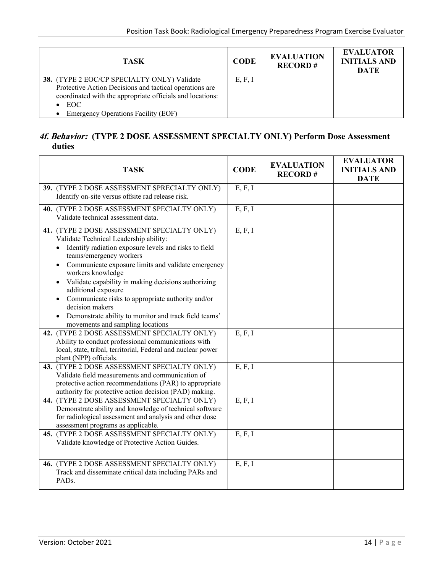| <b>TASK</b>                                                                                                                                                                                                                 | <b>CODE</b> | <b>EVALUATION</b><br><b>RECORD#</b> | <b>EVALUATOR</b><br><b>INITIALS AND</b><br><b>DATE</b> |
|-----------------------------------------------------------------------------------------------------------------------------------------------------------------------------------------------------------------------------|-------------|-------------------------------------|--------------------------------------------------------|
| 38. (TYPE 2 EOC/CP SPECIALTY ONLY) Validate<br>Protective Action Decisions and tactical operations are<br>coordinated with the appropriate officials and locations:<br>$\bullet$ EOC<br>Emergency Operations Facility (EOF) | E, F, I     |                                     |                                                        |

#### **4f. Behavior: (TYPE 2 DOSE ASSESSMENT SPECIALTY ONLY) Perform Dose Assessment duties**

| <b>TASK</b>                                                                                                                                                                                                                                                                                                                                                                                                                                                                                                          | <b>CODE</b> | <b>EVALUATION</b><br><b>RECORD#</b> | <b>EVALUATOR</b><br><b>INITIALS AND</b><br><b>DATE</b> |
|----------------------------------------------------------------------------------------------------------------------------------------------------------------------------------------------------------------------------------------------------------------------------------------------------------------------------------------------------------------------------------------------------------------------------------------------------------------------------------------------------------------------|-------------|-------------------------------------|--------------------------------------------------------|
| 39. (TYPE 2 DOSE ASSESSMENT SPRECIALTY ONLY)<br>Identify on-site versus offsite rad release risk.                                                                                                                                                                                                                                                                                                                                                                                                                    | E, F, I     |                                     |                                                        |
| 40. (TYPE 2 DOSE ASSESSMENT SPECIALTY ONLY)<br>Validate technical assessment data.                                                                                                                                                                                                                                                                                                                                                                                                                                   | E, F, I     |                                     |                                                        |
| 41. (TYPE 2 DOSE ASSESSMENT SPECIALTY ONLY)<br>Validate Technical Leadership ability:<br>Identify radiation exposure levels and risks to field<br>teams/emergency workers<br>Communicate exposure limits and validate emergency<br>$\bullet$<br>workers knowledge<br>Validate capability in making decisions authorizing<br>additional exposure<br>Communicate risks to appropriate authority and/or<br>decision makers<br>Demonstrate ability to monitor and track field teams'<br>movements and sampling locations | E, F, I     |                                     |                                                        |
| 42. (TYPE 2 DOSE ASSESSMENT SPECIALTY ONLY)<br>Ability to conduct professional communications with<br>local, state, tribal, territorial, Federal and nuclear power<br>plant (NPP) officials.                                                                                                                                                                                                                                                                                                                         | E, F, I     |                                     |                                                        |
| 43. (TYPE 2 DOSE ASSESSMENT SPECIALTY ONLY)<br>Validate field measurements and communication of<br>protective action recommendations (PAR) to appropriate<br>authority for protective action decision (PAD) making.                                                                                                                                                                                                                                                                                                  | E, F, I     |                                     |                                                        |
| 44. (TYPE 2 DOSE ASSESSMENT SPECIALTY ONLY)<br>Demonstrate ability and knowledge of technical software<br>for radiological assessment and analysis and other dose<br>assessment programs as applicable.                                                                                                                                                                                                                                                                                                              | E, F, I     |                                     |                                                        |
| 45. (TYPE 2 DOSE ASSESSMENT SPECIALTY ONLY)<br>Validate knowledge of Protective Action Guides.                                                                                                                                                                                                                                                                                                                                                                                                                       | E, F, I     |                                     |                                                        |
| 46. (TYPE 2 DOSE ASSESSMENT SPECIALTY ONLY)<br>Track and disseminate critical data including PARs and<br>PAD <sub>s</sub> .                                                                                                                                                                                                                                                                                                                                                                                          | E, F, I     |                                     |                                                        |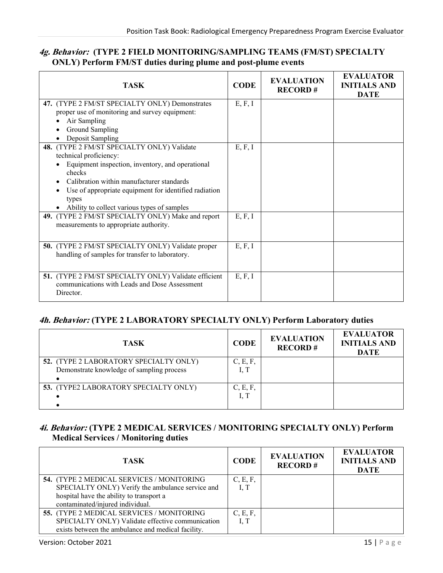#### **4g. Behavior: (TYPE 2 FIELD MONITORING/SAMPLING TEAMS (FM/ST) SPECIALTY ONLY) Perform FM/ST duties during plume and post-plume events**

| <b>TASK</b>                                                                                                                                                                                                                                                                                        | <b>CODE</b> | <b>EVALUATION</b><br><b>RECORD#</b> | <b>EVALUATOR</b><br><b>INITIALS AND</b><br><b>DATE</b> |
|----------------------------------------------------------------------------------------------------------------------------------------------------------------------------------------------------------------------------------------------------------------------------------------------------|-------------|-------------------------------------|--------------------------------------------------------|
| 47. (TYPE 2 FM/ST SPECIALTY ONLY) Demonstrates<br>proper use of monitoring and survey equipment:<br>Air Sampling<br><b>Ground Sampling</b><br>Deposit Sampling                                                                                                                                     | E, F, I     |                                     |                                                        |
| 48. (TYPE 2 FM/ST SPECIALTY ONLY) Validate<br>technical proficiency:<br>Equipment inspection, inventory, and operational<br>checks<br>Calibration within manufacturer standards<br>Use of appropriate equipment for identified radiation<br>types<br>• Ability to collect various types of samples | E, F, I     |                                     |                                                        |
| 49. (TYPE 2 FM/ST SPECIALTY ONLY) Make and report<br>measurements to appropriate authority.                                                                                                                                                                                                        | E, F, I     |                                     |                                                        |
| 50. (TYPE 2 FM/ST SPECIALTY ONLY) Validate proper<br>handling of samples for transfer to laboratory.                                                                                                                                                                                               | E, F, I     |                                     |                                                        |
| 51. (TYPE 2 FM/ST SPECIALTY ONLY) Validate efficient<br>communications with Leads and Dose Assessment<br>Director.                                                                                                                                                                                 | E, F, I     |                                     |                                                        |

#### **4h. Behavior: (TYPE 2 LABORATORY SPECIALTY ONLY) Perform Laboratory duties**

| <b>TASK</b>                                                                         | <b>CODE</b>      | <b>EVALUATION</b><br><b>RECORD#</b> | <b>EVALUATOR</b><br><b>INITIALS AND</b><br><b>DATE</b> |
|-------------------------------------------------------------------------------------|------------------|-------------------------------------|--------------------------------------------------------|
| 52. (TYPE 2 LABORATORY SPECIALTY ONLY)<br>Demonstrate knowledge of sampling process | C, E, F,<br>I, T |                                     |                                                        |
| 53. (TYPE2 LABORATORY SPECIALTY ONLY)                                               | C, E, F,<br>I, T |                                     |                                                        |

## **4i. Behavior: (TYPE 2 MEDICAL SERVICES / MONITORING SPECIALTY ONLY) Perform Medical Services / Monitoring duties**

| <b>TASK</b>                                        | <b>CODE</b> | <b>EVALUATION</b><br><b>RECORD#</b> | <b>EVALUATOR</b><br><b>INITIALS AND</b><br><b>DATE</b> |
|----------------------------------------------------|-------------|-------------------------------------|--------------------------------------------------------|
| <b>54. (TYPE 2 MEDICAL SERVICES / MONITORING</b>   | C, E, F,    |                                     |                                                        |
| SPECIALTY ONLY) Verify the ambulance service and   | I, T        |                                     |                                                        |
| hospital have the ability to transport a           |             |                                     |                                                        |
| contaminated/injured individual.                   |             |                                     |                                                        |
| 55. (TYPE 2 MEDICAL SERVICES / MONITORING          | C, E, F,    |                                     |                                                        |
| SPECIALTY ONLY) Validate effective communication   | I, $T$      |                                     |                                                        |
| exists between the ambulance and medical facility. |             |                                     |                                                        |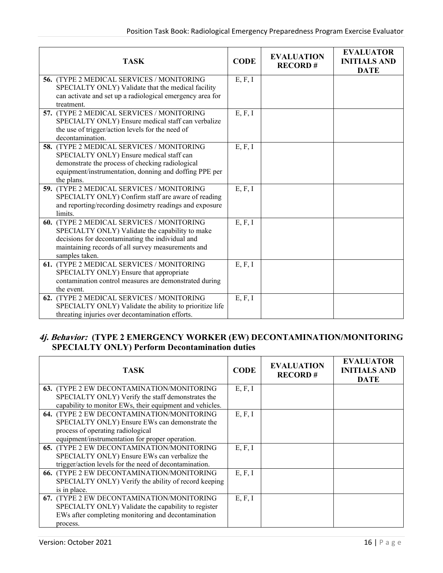| <b>TASK</b>                                                                                                                                                                                                              | <b>CODE</b> | <b>EVALUATION</b><br><b>RECORD#</b> | <b>EVALUATOR</b><br><b>INITIALS AND</b><br><b>DATE</b> |
|--------------------------------------------------------------------------------------------------------------------------------------------------------------------------------------------------------------------------|-------------|-------------------------------------|--------------------------------------------------------|
| 56. (TYPE 2 MEDICAL SERVICES / MONITORING<br>SPECIALTY ONLY) Validate that the medical facility<br>can activate and set up a radiological emergency area for<br>treatment.                                               | E, F, I     |                                     |                                                        |
| 57. (TYPE 2 MEDICAL SERVICES / MONITORING<br>SPECIALTY ONLY) Ensure medical staff can verbalize<br>the use of trigger/action levels for the need of<br>decontamination.                                                  | E, F, I     |                                     |                                                        |
| 58. (TYPE 2 MEDICAL SERVICES / MONITORING<br>SPECIALTY ONLY) Ensure medical staff can<br>demonstrate the process of checking radiological<br>equipment/instrumentation, donning and doffing PPE per<br>the plans.        | E, F, I     |                                     |                                                        |
| 59. (TYPE 2 MEDICAL SERVICES / MONITORING<br>SPECIALTY ONLY) Confirm staff are aware of reading<br>and reporting/recording dosimetry readings and exposure<br>limits.                                                    | E, F, I     |                                     |                                                        |
| 60. (TYPE 2 MEDICAL SERVICES / MONITORING<br>SPECIALTY ONLY) Validate the capability to make<br>decisions for decontaminating the individual and<br>maintaining records of all survey measurements and<br>samples taken. | E, F, I     |                                     |                                                        |
| 61. (TYPE 2 MEDICAL SERVICES / MONITORING<br>SPECIALTY ONLY) Ensure that appropriate<br>contamination control measures are demonstrated during<br>the event.                                                             | E, F, I     |                                     |                                                        |
| 62. (TYPE 2 MEDICAL SERVICES / MONITORING<br>SPECIALTY ONLY) Validate the ability to prioritize life<br>threating injuries over decontamination efforts.                                                                 | E, F, I     |                                     |                                                        |

#### **4j. Behavior: (TYPE 2 EMERGENCY WORKER (EW) DECONTAMINATION/MONITORING SPECIALTY ONLY) Perform Decontamination duties**

| TASK                                                     | <b>CODE</b> | <b>EVALUATION</b><br><b>RECORD#</b> | <b>EVALUATOR</b><br><b>INITIALS AND</b><br><b>DATE</b> |
|----------------------------------------------------------|-------------|-------------------------------------|--------------------------------------------------------|
| <b>63.</b> (TYPE 2 EW DECONTAMINATION/MONITORING         | E, F, I     |                                     |                                                        |
| SPECIALTY ONLY) Verify the staff demonstrates the        |             |                                     |                                                        |
| capability to monitor EWs, their equipment and vehicles. |             |                                     |                                                        |
| 64. (TYPE 2 EW DECONTAMINATION/MONITORING                | E, F, I     |                                     |                                                        |
| SPECIALTY ONLY) Ensure EWs can demonstrate the           |             |                                     |                                                        |
| process of operating radiological                        |             |                                     |                                                        |
| equipment/instrumentation for proper operation.          |             |                                     |                                                        |
| <b>65.</b> (TYPE 2 EW DECONTAMINATION/MONITORING         | E, F, I     |                                     |                                                        |
| SPECIALTY ONLY) Ensure EWs can verbalize the             |             |                                     |                                                        |
| trigger/action levels for the need of decontamination.   |             |                                     |                                                        |
| 66. (TYPE 2 EW DECONTAMINATION/MONITORING                | E, F, I     |                                     |                                                        |
| SPECIALTY ONLY) Verify the ability of record keeping     |             |                                     |                                                        |
| is in place.                                             |             |                                     |                                                        |
| 67. (TYPE 2 EW DECONTAMINATION/MONITORING                | E, F, I     |                                     |                                                        |
| SPECIALTY ONLY) Validate the capability to register      |             |                                     |                                                        |
| EWs after completing monitoring and decontamination      |             |                                     |                                                        |
| process.                                                 |             |                                     |                                                        |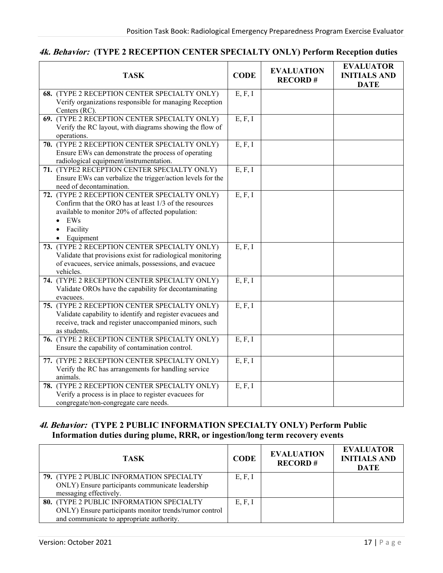## **4k. Behavior: (TYPE 2 RECEPTION CENTER SPECIALTY ONLY) Perform Reception duties**

| <b>TASK</b>                                                | <b>CODE</b> | <b>EVALUATION</b><br><b>RECORD#</b> | <b>EVALUATOR</b><br><b>INITIALS AND</b><br><b>DATE</b> |
|------------------------------------------------------------|-------------|-------------------------------------|--------------------------------------------------------|
| 68. (TYPE 2 RECEPTION CENTER SPECIALTY ONLY)               | E, F, I     |                                     |                                                        |
| Verify organizations responsible for managing Reception    |             |                                     |                                                        |
| Centers (RC).                                              |             |                                     |                                                        |
| 69. (TYPE 2 RECEPTION CENTER SPECIALTY ONLY)               | E, F, I     |                                     |                                                        |
| Verify the RC layout, with diagrams showing the flow of    |             |                                     |                                                        |
| operations.                                                |             |                                     |                                                        |
| 70. (TYPE 2 RECEPTION CENTER SPECIALTY ONLY)               | E, F, I     |                                     |                                                        |
| Ensure EWs can demonstrate the process of operating        |             |                                     |                                                        |
| radiological equipment/instrumentation.                    |             |                                     |                                                        |
| 71. (TYPE2 RECEPTION CENTER SPECIALTY ONLY)                | E, F, I     |                                     |                                                        |
| Ensure EWs can verbalize the trigger/action levels for the |             |                                     |                                                        |
| need of decontamination.                                   |             |                                     |                                                        |
| 72. (TYPE 2 RECEPTION CENTER SPECIALTY ONLY)               | E, F, I     |                                     |                                                        |
| Confirm that the ORO has at least 1/3 of the resources     |             |                                     |                                                        |
| available to monitor 20% of affected population:           |             |                                     |                                                        |
| EWs<br>$\bullet$                                           |             |                                     |                                                        |
| Facility<br>$\bullet$                                      |             |                                     |                                                        |
| Equipment<br>$\bullet$                                     |             |                                     |                                                        |
| 73. (TYPE 2 RECEPTION CENTER SPECIALTY ONLY)               | E, F, I     |                                     |                                                        |
| Validate that provisions exist for radiological monitoring |             |                                     |                                                        |
| of evacuees, service animals, possessions, and evacuee     |             |                                     |                                                        |
| vehicles.                                                  |             |                                     |                                                        |
| 74. (TYPE 2 RECEPTION CENTER SPECIALTY ONLY)               | E, F, I     |                                     |                                                        |
| Validate OROs have the capability for decontaminating      |             |                                     |                                                        |
| evacuees.                                                  |             |                                     |                                                        |
| 75. (TYPE 2 RECEPTION CENTER SPECIALTY ONLY)               | E, F, I     |                                     |                                                        |
| Validate capability to identify and register evacuees and  |             |                                     |                                                        |
| receive, track and register unaccompanied minors, such     |             |                                     |                                                        |
| as students.                                               |             |                                     |                                                        |
| 76. (TYPE 2 RECEPTION CENTER SPECIALTY ONLY)               | E, F, I     |                                     |                                                        |
| Ensure the capability of contamination control.            |             |                                     |                                                        |
| 77. (TYPE 2 RECEPTION CENTER SPECIALTY ONLY)               | E, F, I     |                                     |                                                        |
| Verify the RC has arrangements for handling service        |             |                                     |                                                        |
| animals.                                                   |             |                                     |                                                        |
| 78. (TYPE 2 RECEPTION CENTER SPECIALTY ONLY)               | E, F, I     |                                     |                                                        |
| Verify a process is in place to register evacuees for      |             |                                     |                                                        |
| congregate/non-congregate care needs.                      |             |                                     |                                                        |

#### **4l. Behavior: (TYPE 2 PUBLIC INFORMATION SPECIALTY ONLY) Perform Public Information duties during plume, RRR, or ingestion/long term recovery events**

| <b>TASK</b>                                            | <b>CODE</b> | <b>EVALUATION</b><br><b>RECORD#</b> | <b>EVALUATOR</b><br><b>INITIALS AND</b><br><b>DATE</b> |
|--------------------------------------------------------|-------------|-------------------------------------|--------------------------------------------------------|
| 79. (TYPE 2 PUBLIC INFORMATION SPECIALTY               | E, F, I     |                                     |                                                        |
| ONLY) Ensure participants communicate leadership       |             |                                     |                                                        |
| messaging effectively.                                 |             |                                     |                                                        |
| 80. (TYPE 2 PUBLIC INFORMATION SPECIALTY               | E, F, I     |                                     |                                                        |
| ONLY) Ensure participants monitor trends/rumor control |             |                                     |                                                        |
| and communicate to appropriate authority.              |             |                                     |                                                        |